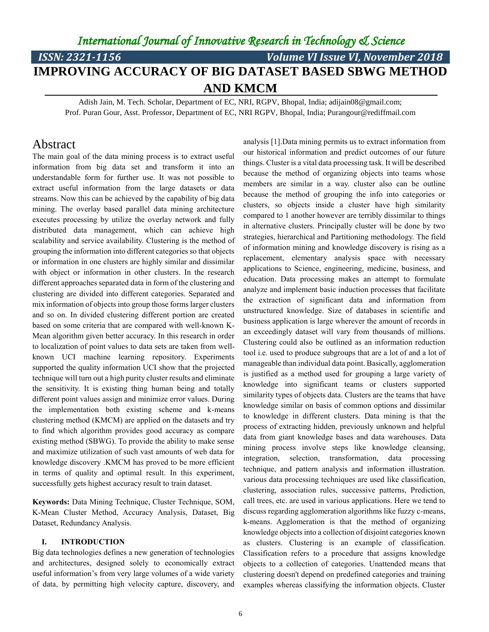# *ISSN: 2321-1156 Volume VI Issue VI, November 2018* **IMPROVING ACCURACY OF BIG DATASET BASED SBWG METHOD AND KMCM**

Adish Jain, M. Tech. Scholar, Department of EC, NRI, RGPV, Bhopal, India; adijain08@gmail.com; Prof. Puran Gour, Asst. Professor, Department of EC, NRI RGPV, Bhopal, India; Purangour@rediffmail.com

### Abstract

The main goal of the data mining process is to extract useful information from big data set and transform it into an understandable form for further use. It was not possible to extract useful information from the large datasets or data streams. Now this can be achieved by the capability of big data mining. The overlay based parallel data mining architecture executes processing by utilize the overlay network and fully distributed data management, which can achieve high scalability and service availability. Clustering is the method of grouping the information into different categories so that objects or information in one clusters are highly similar and dissimilar with object or information in other clusters. In the research different approaches separated data in form of the clustering and clustering are divided into different categories. Separated and mix information of objects into group those forms larger clusters and so on. In divided clustering different portion are created based on some criteria that are compared with well-known K-Mean algorithm given better accuracy. In this research in order to localization of point values to data sets are taken from wellknown UCI machine learning repository. Experiments supported the quality information UCI show that the projected technique will turn out a high purity cluster results and eliminate the sensitivity. It is existing thing human being and totally different point values assign and minimize error values. During the implementation both existing scheme and k-means clustering method (KMCM) are applied on the datasets and try to find which algorithm provides good accuracy as compare existing method (SBWG). To provide the ability to make sense and maximize utilization of such vast amounts of web data for knowledge discovery .KMCM has proved to be more efficient in terms of quality and optimal result. In this experiment, successfully gets highest accuracy result to train dataset.

**Keywords:** Data Mining Technique, Cluster Technique, SOM, K-Mean Cluster Method, Accuracy Analysis, Dataset, Big Dataset, Redundancy Analysis.

#### **I. INTRODUCTION**

Big data technologies defines a new generation of technologies and architectures, designed solely to economically extract useful information's from very large volumes of a wide variety of data, by permitting high velocity capture, discovery, and analysis [1].Data mining permits us to extract information from our historical information and predict outcomes of our future things. Cluster is a vital data processing task. It will be described because the method of organizing objects into teams whose members are similar in a way. cluster also can be outline because the method of grouping the info into categories or clusters, so objects inside a cluster have high similarity compared to 1 another however are terribly dissimilar to things in alternative clusters. Principally cluster will be done by two strategies, hierarchical and Partitioning methodology. The field of information mining and knowledge discovery is rising as a replacement, elementary analysis space with necessary applications to Science, engineering, medicine, business, and education. Data processing makes an attempt to formulate analyze and implement basic induction processes that facilitate the extraction of significant data and information from unstructured knowledge. Size of databases in scientific and business application is large wherever the amount of records in an exceedingly dataset will vary from thousands of millions. Clustering could also be outlined as an information reduction tool i.e. used to produce subgroups that are a lot of and a lot of manageable than individual data point. Basically, agglomeration is justified as a method used for grouping a large variety of knowledge into significant teams or clusters supported similarity types of objects data. Clusters are the teams that have knowledge similar on basis of common options and dissimilar to knowledge in different clusters. Data mining is that the process of extracting hidden, previously unknown and helpful data from giant knowledge bases and data warehouses. Data mining process involve steps like knowledge cleansing, integration, selection, transformation, data processing technique, and pattern analysis and information illustration. various data processing techniques are used like classification, clustering, association rules, successive patterns, Prediction, call trees, etc. are used in various applications. Here we tend to discuss regarding agglomeration algorithms like fuzzy c-means, k-means. Agglomeration is that the method of organizing knowledge objects into a collection of disjoint categories known as clusters. Clustering is an example of classification. Classification refers to a procedure that assigns knowledge objects to a collection of categories. Unattended means that clustering doesn't depend on predefined categories and training examples whereas classifying the information objects. Cluster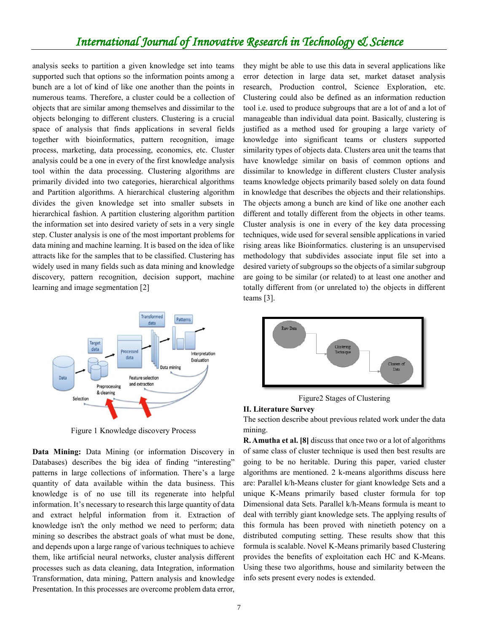analysis seeks to partition a given knowledge set into teams supported such that options so the information points among a bunch are a lot of kind of like one another than the points in numerous teams. Therefore, a cluster could be a collection of objects that are similar among themselves and dissimilar to the objects belonging to different clusters. Clustering is a crucial space of analysis that finds applications in several fields together with bioinformatics, pattern recognition, image process, marketing, data processing, economics, etc. Cluster analysis could be a one in every of the first knowledge analysis tool within the data processing. Clustering algorithms are primarily divided into two categories, hierarchical algorithms and Partition algorithms. A hierarchical clustering algorithm divides the given knowledge set into smaller subsets in hierarchical fashion. A partition clustering algorithm partition the information set into desired variety of sets in a very single step. Cluster analysis is one of the most important problems for data mining and machine learning. It is based on the idea of like attracts like for the samples that to be classified. Clustering has widely used in many fields such as data mining and knowledge discovery, pattern recognition, decision support, machine learning and image segmentation [2]



Figure 1 Knowledge discovery Process

**Data Mining:** Data Mining (or information Discovery in Databases) describes the big idea of finding "interesting" patterns in large collections of information. There's a large quantity of data available within the data business. This knowledge is of no use till its regenerate into helpful information. It's necessary to research this large quantity of data and extract helpful information from it. Extraction of knowledge isn't the only method we need to perform; data mining so describes the abstract goals of what must be done, and depends upon a large range of various techniques to achieve them, like artificial neural networks, cluster analysis different processes such as data cleaning, data Integration, information Transformation, data mining, Pattern analysis and knowledge Presentation. In this processes are overcome problem data error, they might be able to use this data in several applications like error detection in large data set, market dataset analysis research, Production control, Science Exploration, etc. Clustering could also be defined as an information reduction tool i.e. used to produce subgroups that are a lot of and a lot of manageable than individual data point. Basically, clustering is justified as a method used for grouping a large variety of knowledge into significant teams or clusters supported similarity types of objects data. Clusters area unit the teams that have knowledge similar on basis of common options and dissimilar to knowledge in different clusters Cluster analysis teams knowledge objects primarily based solely on data found in knowledge that describes the objects and their relationships. The objects among a bunch are kind of like one another each different and totally different from the objects in other teams. Cluster analysis is one in every of the key data processing techniques, wide used for several sensible applications in varied rising areas like Bioinformatics. clustering is an unsupervised methodology that subdivides associate input file set into a desired variety of subgroups so the objects of a similar subgroup are going to be similar (or related) to at least one another and totally different from (or unrelated to) the objects in different teams [3].



Figure2 Stages of Clustering

#### **II. Literature Survey**

The section describe about previous related work under the data mining.

**R. Amutha et al. [8]** discuss that once two or a lot of algorithms of same class of cluster technique is used then best results are going to be no heritable. During this paper, varied cluster algorithms are mentioned. 2 k-means algorithms discuss here are: Parallel k/h-Means cluster for giant knowledge Sets and a unique K-Means primarily based cluster formula for top Dimensional data Sets. Parallel k/h-Means formula is meant to deal with terribly giant knowledge sets. The applying results of this formula has been proved with ninetieth potency on a distributed computing setting. These results show that this formula is scalable. Novel K-Means primarily based Clustering provides the benefits of exploitation each HC and K-Means. Using these two algorithms, house and similarity between the info sets present every nodes is extended.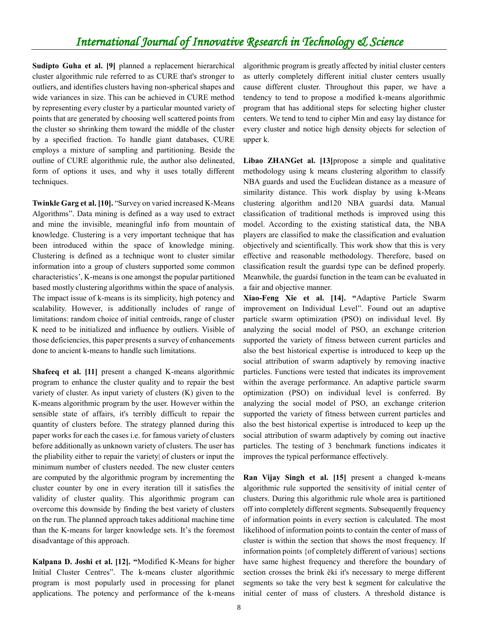**Sudipto Guha et al. [9]** planned a replacement hierarchical cluster algorithmic rule referred to as CURE that's stronger to outliers, and identifies clusters having non-spherical shapes and wide variances in size. This can be achieved in CURE method by representing every cluster by a particular mounted variety of points that are generated by choosing well scattered points from the cluster so shrinking them toward the middle of the cluster by a specified fraction. To handle giant databases, CURE employs a mixture of sampling and partitioning. Beside the outline of CURE algorithmic rule, the author also delineated, form of options it uses, and why it uses totally different techniques.

**Twinkle Garg et al. [10].** "Survey on varied increased K-Means Algorithms". Data mining is defined as a way used to extract and mine the invisible, meaningful info from mountain of knowledge. Clustering is a very important technique that has been introduced within the space of knowledge mining. Clustering is defined as a technique wont to cluster similar information into a group of clusters supported some common characteristics', K-means is one amongst the popular partitioned based mostly clustering algorithms within the space of analysis. The impact issue of k-means is its simplicity, high potency and scalability. However, is additionally includes of range of limitations: random choice of initial centroids, range of cluster K need to be initialized and influence by outliers. Visible of those deficiencies, this paper presents a survey of enhancements done to ancient k-means to handle such limitations.

**Shafeeq et al. [11]** present a changed K-means algorithmic program to enhance the cluster quality and to repair the best variety of cluster. As input variety of clusters (K) given to the K-means algorithmic program by the user. However within the sensible state of affairs, it's terribly difficult to repair the quantity of clusters before. The strategy planned during this paper works for each the cases i.e. for famous variety of clusters before additionally as unknown variety of clusters. The user has the pliability either to repair the variety| of clusters or input the minimum number of clusters needed. The new cluster centers are computed by the algorithmic program by incrementing the cluster counter by one in every iteration till it satisfies the validity of cluster quality. This algorithmic program can overcome this downside by finding the best variety of clusters on the run. The planned approach takes additional machine time than the K-means for larger knowledge sets. It's the foremost disadvantage of this approach.

**Kalpana D. Joshi et al. [12]. "**Modified K-Means for higher Initial Cluster Centres". The k-means cluster algorithmic program is most popularly used in processing for planet applications. The potency and performance of the k-means algorithmic program is greatly affected by initial cluster centers as utterly completely different initial cluster centers usually cause different cluster. Throughout this paper, we have a tendency to tend to propose a modified k-means algorithmic program that has additional steps for selecting higher cluster centers. We tend to tend to cipher Min and easy lay distance for every cluster and notice high density objects for selection of upper k.

**Libao ZHANGet al. [13]**propose a simple and qualitative methodology using k means clustering algorithm to classify NBA guards and used the Euclidean distance as a measure of similarity distance. This work display by using k-Means clustering algorithm and120 NBA guardsí data. Manual classification of traditional methods is improved using this model. According to the existing statistical data, the NBA players are classified to make the classification and evaluation objectively and scientifically. This work show that this is very effective and reasonable methodology. Therefore, based on classification result the guardsí type can be defined properly. Meanwhile, the guardsí function in the team can be evaluated in a fair and objective manner.

**Xiao-Feng Xie et al. [14]. "**Adaptive Particle Swarm improvement on Individual Level". Found out an adaptive particle swarm optimization (PSO) on individual level. By analyzing the social model of PSO, an exchange criterion supported the variety of fitness between current particles and also the best historical expertise is introduced to keep up the social attribution of swarm adaptively by removing inactive particles. Functions were tested that indicates its improvement within the average performance. An adaptive particle swarm optimization (PSO) on individual level is conferred. By analyzing the social model of PSO, an exchange criterion supported the variety of fitness between current particles and also the best historical expertise is introduced to keep up the social attribution of swarm adaptively by coming out inactive particles. The testing of 3 benchmark functions indicates it improves the typical performance effectively.

**Ran Vijay Singh et al. [15]** present a changed k-means algorithmic rule supported the sensitivity of initial center of clusters. During this algorithmic rule whole area is partitioned off into completely different segments. Subsequently frequency of information points in every section is calculated. The most likelihood of information points to contain the center of mass of cluster is within the section that shows the most frequency. If information points {of completely different of various} sections have same highest frequency and therefore the boundary of section crosses the brink ëkí it's necessary to merge different segments so take the very best k segment for calculative the initial center of mass of clusters. A threshold distance is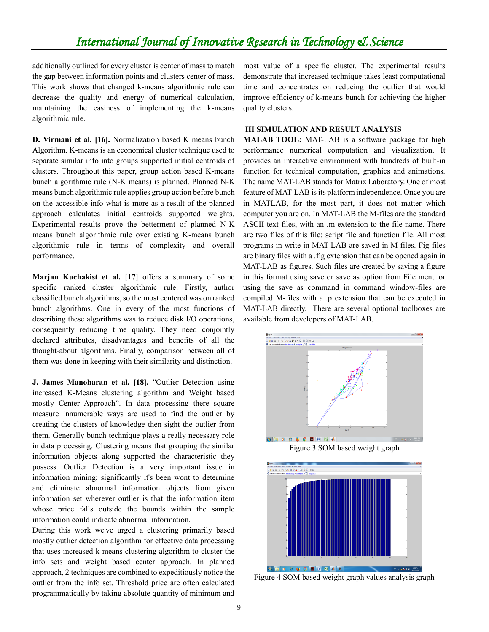additionally outlined for every cluster is center of mass to match the gap between information points and clusters center of mass. This work shows that changed k-means algorithmic rule can decrease the quality and energy of numerical calculation, maintaining the easiness of implementing the k-means algorithmic rule.

**D. Virmani et al. [16].** Normalization based K means bunch Algorithm. K-means is an economical cluster technique used to separate similar info into groups supported initial centroids of clusters. Throughout this paper, group action based K-means bunch algorithmic rule (N-K means) is planned. Planned N-K means bunch algorithmic rule applies group action before bunch on the accessible info what is more as a result of the planned approach calculates initial centroids supported weights. Experimental results prove the betterment of planned N-K means bunch algorithmic rule over existing K-means bunch algorithmic rule in terms of complexity and overall performance.

**Marjan Kuchakist et al. [17]** offers a summary of some specific ranked cluster algorithmic rule. Firstly, author classified bunch algorithms, so the most centered was on ranked bunch algorithms. One in every of the most functions of describing these algorithms was to reduce disk I/O operations, consequently reducing time quality. They need conjointly declared attributes, disadvantages and benefits of all the thought-about algorithms. Finally, comparison between all of them was done in keeping with their similarity and distinction.

**J. James Manoharan et al. [18].** "Outlier Detection using increased K-Means clustering algorithm and Weight based mostly Center Approach". In data processing there square measure innumerable ways are used to find the outlier by creating the clusters of knowledge then sight the outlier from them. Generally bunch technique plays a really necessary role in data processing. Clustering means that grouping the similar information objects along supported the characteristic they possess. Outlier Detection is a very important issue in information mining; significantly it's been wont to determine and eliminate abnormal information objects from given information set wherever outlier is that the information item whose price falls outside the bounds within the sample information could indicate abnormal information.

During this work we've urged a clustering primarily based mostly outlier detection algorithm for effective data processing that uses increased k-means clustering algorithm to cluster the info sets and weight based center approach. In planned approach, 2 techniques are combined to expeditiously notice the outlier from the info set. Threshold price are often calculated programmatically by taking absolute quantity of minimum and most value of a specific cluster. The experimental results demonstrate that increased technique takes least computational time and concentrates on reducing the outlier that would improve efficiency of k-means bunch for achieving the higher quality clusters.

#### **III SIMULATION AND RESULT ANALYSIS**

**MALAB TOOL:** MAT-LAB is a software package for high performance numerical computation and visualization. It provides an interactive environment with hundreds of built-in function for technical computation, graphics and animations. The name MAT-LAB stands for Matrix Laboratory. One of most feature of MAT-LAB is its platform independence. Once you are in MATLAB, for the most part, it does not matter which computer you are on. In MAT-LAB the M-files are the standard ASCII text files, with an .m extension to the file name. There are two files of this file: script file and function file. All most programs in write in MAT-LAB are saved in M-files. Fig-files are binary files with a .fig extension that can be opened again in MAT-LAB as figures. Such files are created by saving a figure in this format using save or save as option from File menu or using the save as command in command window-files are compiled M-files with a .p extension that can be executed in MAT-LAB directly. There are several optional toolboxes are available from developers of MAT-LAB.





Figure 4 SOM based weight graph values analysis graph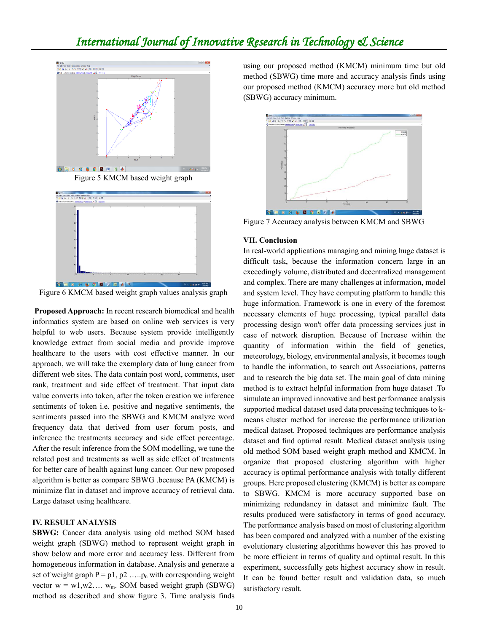

Figure 5 KMCM based weight graph



Figure 6 KMCM based weight graph values analysis graph

**Proposed Approach:** In recent research biomedical and health informatics system are based on online web services is very helpful to web users. Because system provide intelligently knowledge extract from social media and provide improve healthcare to the users with cost effective manner. In our approach, we will take the exemplary data of lung cancer from different web sites. The data contain post word, comments, user rank, treatment and side effect of treatment. That input data value converts into token, after the token creation we inference sentiments of token i.e. positive and negative sentiments, the sentiments passed into the SBWG and KMCM analyze word frequency data that derived from user forum posts, and inference the treatments accuracy and side effect percentage. After the result inference from the SOM modelling, we tune the related post and treatments as well as side effect of treatments for better care of health against lung cancer. Our new proposed algorithm is better as compare SBWG .because PA (KMCM) is minimize flat in dataset and improve accuracy of retrieval data. Large dataset using healthcare.

#### **IV. RESULT ANALYSIS**

**SBWG:** Cancer data analysis using old method SOM based weight graph (SBWG) method to represent weight graph in show below and more error and accuracy less. Different from homogeneous information in database. Analysis and generate a set of weight graph  $P = p1$ ,  $p2$  ..... $p_n$  with corresponding weight vector  $w = w1, w2, \ldots, w_m$ . SOM based weight graph (SBWG) method as described and show figure 3. Time analysis finds using our proposed method (KMCM) minimum time but old method (SBWG) time more and accuracy analysis finds using our proposed method (KMCM) accuracy more but old method (SBWG) accuracy minimum.



Figure 7 Accuracy analysis between KMCM and SBWG

#### **VII. Conclusion**

In real-world applications managing and mining huge dataset is difficult task, because the information concern large in an exceedingly volume, distributed and decentralized management and complex. There are many challenges at information, model and system level. They have computing platform to handle this huge information. Framework is one in every of the foremost necessary elements of huge processing, typical parallel data processing design won't offer data processing services just in case of network disruption. Because of Increase within the quantity of information within the field of genetics, meteorology, biology, environmental analysis, it becomes tough to handle the information, to search out Associations, patterns and to research the big data set. The main goal of data mining method is to extract helpful information from huge dataset .To simulate an improved innovative and best performance analysis supported medical dataset used data processing techniques to kmeans cluster method for increase the performance utilization medical dataset. Proposed techniques are performance analysis dataset and find optimal result. Medical dataset analysis using old method SOM based weight graph method and KMCM. In organize that proposed clustering algorithm with higher accuracy is optimal performance analysis with totally different groups. Here proposed clustering (KMCM) is better as compare to SBWG. KMCM is more accuracy supported base on minimizing redundancy in dataset and minimize fault. The results produced were satisfactory in terms of good accuracy. The performance analysis based on most of clustering algorithm has been compared and analyzed with a number of the existing evolutionary clustering algorithms however this has proved to be more efficient in terms of quality and optimal result. In this experiment, successfully gets highest accuracy show in result. It can be found better result and validation data, so much satisfactory result.